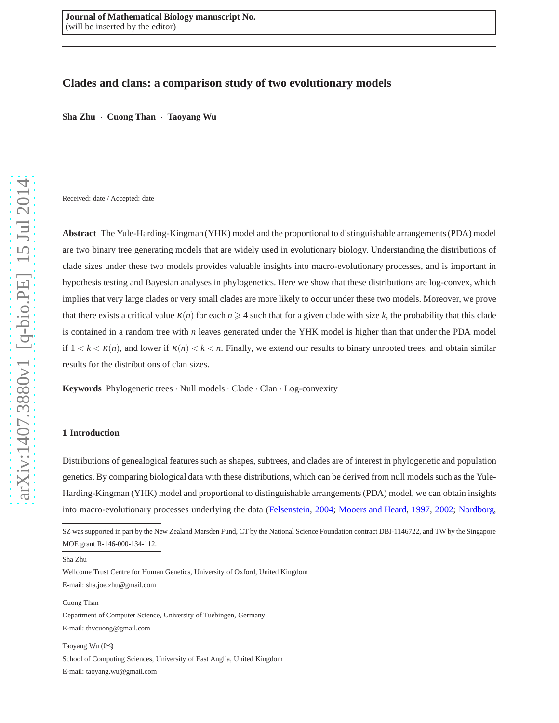# **Clades and clans: a comparison study of two evolutionary models**

**Sha Zhu** · **Cuong Than** · **Taoyang Wu**

Received: date / Accepted: date

**Abstract** The Yule-Harding-Kingman (YHK) model and the proportional to distinguishable arrangements (PDA) model are two binary tree generating models that are widely used in evolutionary biology. Understanding the distributions of clade sizes under these two models provides valuable insights into macro-evolutionary processes, and is important in hypothesis testing and Bayesian analyses in phylogenetics. Here we show that these distributions are log-convex, whic h implies that very large clades or very small clades are more likely to occur under these two models. Moreover, we prove that there exists a critical value  $\kappa(n)$  for each  $n \geq 4$  such that for a given clade with size k, the probability that this clade is contained in a random tree with *n* leaves generated under the YHK model is higher than that under the PDA model if  $1 < k < \kappa(n)$ , and lower if  $\kappa(n) < k < n$ . Finally, we extend our results to binary unrooted trees, and obtain similar results for the distributions of clan sizes.

Keywords Phylogenetic trees · Null models · Clade · Clan · Log-convexity

#### **1 Introduction**

Distributions of genealogical features such as shapes, subtrees, and clades are of interest in phylogenetic and population genetics. By comparing biological data with these distributions, which can be derived from null models such as the Yule-Harding-Kingman (YHK) model and proportional to distinguishable arrangements (PDA) model, we can obtain insights into macro-evolutionary processes underlying the data [\(Felsenstein](#page-20-0), [2004](#page-20-0); [Mooers and Heard](#page-20-1), [1997](#page-20-1), [2002](#page-20-2); [Nordborg](#page-20-3),

Wellcome Trust Centre for Human Genetics, University of Oxford, United Kingdom E-mail: sha.joe.zhu@gmail.com

Cuong Than

Department of Computer Science, University of Tuebingen, Germany

E-mail: thvcuong@gmail.com

Taoyang Wu ( B)

School of Computing Sciences, University of East Anglia, United Kingdom E-mail: taoyang.wu@gmail.com

SZ was supported in part by the New Zealand Marsden Fund, CT by the National Science Foundation contract DBI-1146722, and TW by the Singapore MOE grant R-146-000-134-112.

Sha Zhu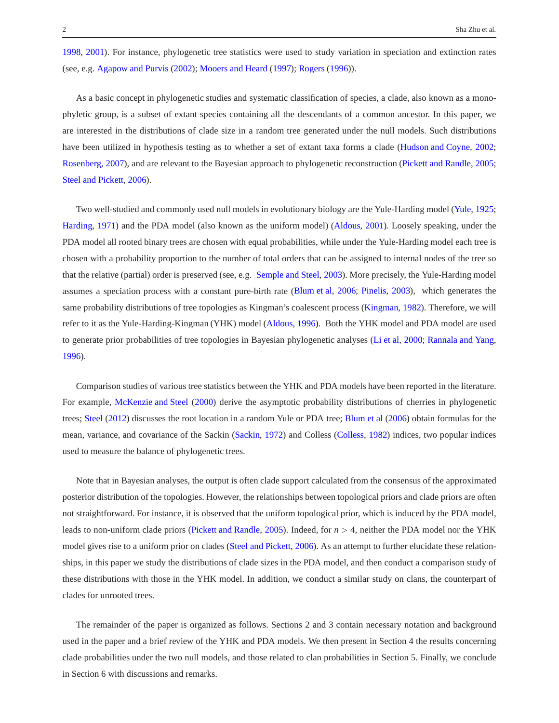[1998,](#page-20-3) [2001](#page-20-4)). For instance, phylogenetic tree statistics were used to study variation in speciation and extinction rates (see, e.g. [Agapow and Purvis](#page-19-0) [\(2002\)](#page-19-0); [Mooers and Heard](#page-20-1) [\(1997\)](#page-20-1); [Rogers](#page-20-5) [\(1996\)](#page-20-5)).

As a basic concept in phylogenetic studies and systematic classification of species, a clade, also known as a monophyletic group, is a subset of extant species containing all the descendants of a common ancestor. In this paper, we are interested in the distributions of clade size in a random tree generated under the null models. Such distributions have been utilized in hypothesis testing as to whether a set of extant taxa forms a clade [\(Hudson and Coyne,](#page-20-6) [2002;](#page-20-6) [Rosenberg,](#page-20-7) [2007\)](#page-20-7), and are relevant to the Bayesian approach to phylogenetic reconstruction [\(Pickett and Randle,](#page-20-8) [2005;](#page-20-8) [Steel and Pickett](#page-20-9), [2006](#page-20-9)).

Two well-studied and commonly used null models in evolutionary biology are the Yule-Harding model [\(Yule](#page-20-10), [1925;](#page-20-10) [Harding](#page-20-11), [1971\)](#page-20-11) and the PDA model (also known as the uniform model) [\(Aldous,](#page-19-1) [2001\)](#page-19-1). Loosely speaking, under the PDA model all rooted binary trees are chosen with equal probabilities, while under the Yule-Harding model each tree is chosen with a probability proportion to the number of total orders that can be assigned to internal nodes of the tree so that the relative (partial) order is preserved (see, e.g. [Semple and Steel,](#page-20-12) [2003\)](#page-20-12). More precisely, the Yule-Harding model assumes a speciation process with a constant pure-birth rate [\(Blum et al,](#page-19-2) [2006;](#page-19-2) [Pinelis](#page-20-13), [2003\)](#page-20-13), which generates the same probability distributions of tree topologies as Kingman's coalescent process [\(Kingman,](#page-20-14) [1982\)](#page-20-14). Therefore, we will refer to it as the Yule-Harding-Kingman (YHK) model [\(Aldous,](#page-19-3) [1996\)](#page-19-3). Both the YHK model and PDA model are used to generate prior probabilities of tree topologies in Bayesian phylogenetic analyses [\(Li et al](#page-20-15), [2000;](#page-20-15) [Rannala and Yang](#page-20-16), [1996\)](#page-20-16).

Comparison studies of various tree statistics between the YHK and PDA models have been reported in the literature. For example, [McKenzie and Steel](#page-20-17) [\(2000\)](#page-20-17) derive the asymptotic probability distributions of cherries in phylogenetic trees; [Steel](#page-20-18) [\(2012\)](#page-20-18) discusses the root location in a random Yule or PDA tree; [Blum et al](#page-19-2) [\(2006\)](#page-19-2) obtain formulas for the mean, variance, and covariance of the Sackin [\(Sackin,](#page-20-19) [1972\)](#page-20-19) and Colless [\(Colless,](#page-20-20) [1982](#page-20-20)) indices, two popular indices used to measure the balance of phylogenetic trees.

Note that in Bayesian analyses, the output is often clade support calculated from the consensus of the approximated posterior distribution of the topologies. However, the relationships between topological priors and clade priors are often not straightforward. For instance, it is observed that the uniform topological prior, which is induced by the PDA model, leads to non-uniform clade priors [\(Pickett and Randle,](#page-20-8) [2005](#page-20-8)). Indeed, for *n* > 4, neither the PDA model nor the YHK model gives rise to a uniform prior on clades [\(Steel and Pickett](#page-20-9), [2006\)](#page-20-9). As an attempt to further elucidate these relationships, in this paper we study the distributions of clade sizes in the PDA model, and then conduct a comparison study of these distributions with those in the YHK model. In addition, we conduct a similar study on clans, the counterpart of clades for unrooted trees.

The remainder of the paper is organized as follows. Sections 2 and 3 contain necessary notation and background used in the paper and a brief review of the YHK and PDA models. We then present in Section 4 the results concerning clade probabilities under the two null models, and those related to clan probabilities in Section 5. Finally, we conclude in Section 6 with discussions and remarks.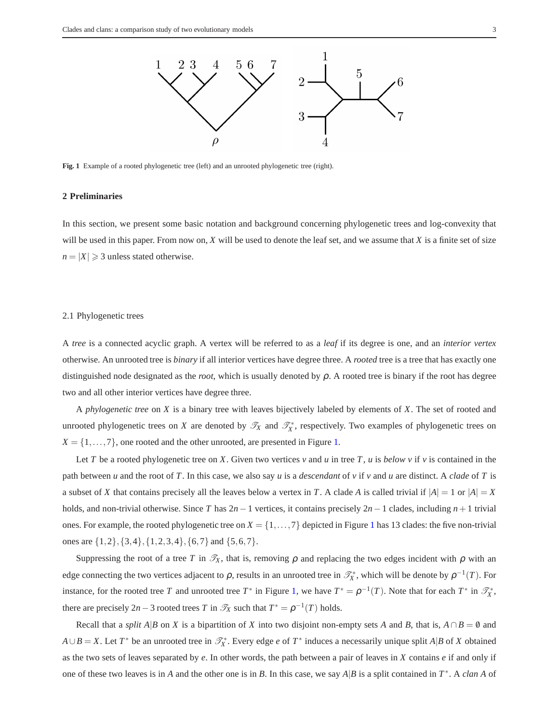

<span id="page-2-1"></span><span id="page-2-0"></span>Fig. 1 Example of a rooted phylogenetic tree (left) and an unrooted phylogenetic tree (right).

# **2 Preliminaries**

In this section, we present some basic notation and background concerning phylogenetic trees and log-convexity that will be used in this paper. From now on, *X* will be used to denote the leaf set, and we assume that *X* is a finite set of size  $n = |X| \geq 3$  unless stated otherwise.

#### 2.1 Phylogenetic trees

A *tree* is a connected acyclic graph. A vertex will be referred to as a *leaf* if its degree is one, and an *interior vertex* otherwise. An unrooted tree is *binary* if all interior vertices have degree three. A *rooted* tree is a tree that has exactly one distinguished node designated as the *root*, which is usually denoted by ρ. A rooted tree is binary if the root has degree two and all other interior vertices have degree three.

A *phylogenetic tree* on *X* is a binary tree with leaves bijectively labeled by elements of *X*. The set of rooted and unrooted phylogenetic trees on *X* are denoted by  $\mathcal{T}_X$  and  $\mathcal{T}_X^*$ , respectively. Two examples of phylogenetic trees on  $X = \{1, \ldots, 7\}$ , one rooted and the other unrooted, are presented in Figure [1.](#page-2-0)

Let *T* be a rooted phylogenetic tree on *X*. Given two vertices  $v$  and  $u$  in tree *T*,  $u$  is *below*  $v$  if  $v$  is contained in the path between *u* and the root of *T*. In this case, we also say *u* is a *descendant* of *v* if *v* and *u* are distinct. A *clade* of *T* is a subset of *X* that contains precisely all the leaves below a vertex in *T*. A clade *A* is called trivial if  $|A| = 1$  or  $|A| = X$ holds, and non-trivial otherwise. Since *T* has 2*n*−1 vertices, it contains precisely 2*n*−1 clades, including *n*+1 trivial ones. For example, the rooted phylogenetic tree on  $X = \{1, \ldots, 7\}$  $X = \{1, \ldots, 7\}$  $X = \{1, \ldots, 7\}$  depicted in Figure 1 has 13 clades: the five non-trivial ones are {1,2},{3,4},{1,2,3,4},{6,7} and {5,6,7}.

Suppressing the root of a tree *T* in  $\mathcal{T}_X$ , that is, removing  $\rho$  and replacing the two edges incident with  $\rho$  with an edge connecting the two vertices adjacent to  $\rho$ , results in an unrooted tree in  $\mathcal{T}_X^*$ , which will be denote by  $\rho^{-1}(T)$ . For instance, for the rooted tree *T* and unrooted tree *T*<sup>\*</sup> in Figure [1,](#page-2-0) we have  $T^* = \rho^{-1}(T)$ . Note that for each  $T^*$  in  $\mathcal{T}_X^*$ , there are precisely  $2n-3$  rooted trees *T* in  $\mathcal{T}_X$  such that  $T^* = \rho^{-1}(T)$  holds.

Recall that a *split A*|*B* on *X* is a bipartition of *X* into two disjoint non-empty sets *A* and *B*, that is,  $A \cap B = \emptyset$  and  $A \cup B = X$ . Let  $T^*$  be an unrooted tree in  $\mathcal{T}_X^*$ . Every edge *e* of  $T^*$  induces a necessarily unique split  $A|B$  of *X* obtained as the two sets of leaves separated by *e*. In other words, the path between a pair of leaves in *X* contains *e* if and only if one of these two leaves is in *A* and the other one is in *B*. In this case, we say *A*|*B* is a split contained in *T* ∗ . A *clan A* of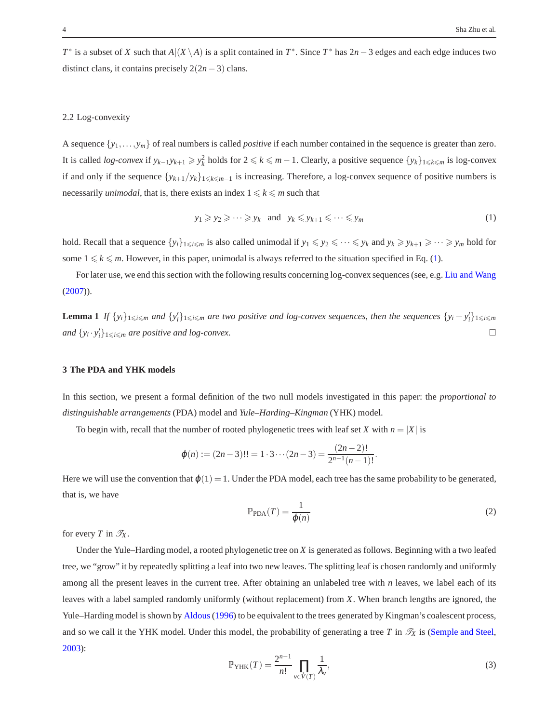*T*<sup>\*</sup> is a subset of *X* such that  $A|(X \setminus A)$  is a split contained in *T*<sup>\*</sup>. Since *T*<sup>\*</sup> has 2*n* − 3 edges and each edge induces two distinct clans, it contains precisely  $2(2n-3)$  clans.

#### 2.2 Log-convexity

A sequence {*y*1,...,*ym*} of real numbers is called *positive* if each number contained in the sequence is greater than zero. It is called *log-convex* if  $y_{k-1}y_{k+1} \geq y_k^2$  holds for  $2 \leq k \leq m-1$ . Clearly, a positive sequence  $\{y_k\}_{1 \leq k \leq m}$  is log-convex if and only if the sequence  $\{y_{k+1}/y_k\}_{1\leq k\leq m-1}$  is increasing. Therefore, a log-convex sequence of positive numbers is necessarily *unimodal*, that is, there exists an index  $1 \leq k \leq m$  such that

<span id="page-3-0"></span>
$$
y_1 \geq y_2 \geq \dots \geq y_k \quad \text{and} \quad y_k \leq y_{k+1} \leq \dots \leq y_m \tag{1}
$$

hold. Recall that a sequence  $\{y_i\}_{1\leq i\leq m}$  is also called unimodal if  $y_1 \leq y_2 \leq \cdots \leq y_k$  and  $y_k \geq y_{k+1} \geq \cdots \geq y_m$  hold for some  $1 \leq k \leq m$ . However, in this paper, unimodal is always referred to the situation specified in Eq. [\(1\)](#page-3-0).

<span id="page-3-1"></span>For later use, we end this section with the following results concerning log-convex sequences (see, e.g. [Liu and Wang](#page-20-21)  $(2007)$ .

**Lemma 1** If  $\{y_i\}_{1\leq i\leq m}$  and  $\{y'_i\}_{1\leq i\leq m}$  are two positive and log-convex sequences, then the sequences  $\{y_i+y'_i\}_{1\leq i\leq m}$ *and*  $\{y_i \cdot y'_i\}_{1 \leq i \leq m}$  *are positive and log-convex.* 

### **3 The PDA and YHK models**

In this section, we present a formal definition of the two null models investigated in this paper: the *proportional to distinguishable arrangements* (PDA) model and *Yule–Harding–Kingman* (YHK) model.

To begin with, recall that the number of rooted phylogenetic trees with leaf set *X* with  $n = |X|$  is

$$
\varphi(n) := (2n-3)!! = 1 \cdot 3 \cdots (2n-3) = \frac{(2n-2)!}{2^{n-1}(n-1)!}.
$$

Here we will use the convention that  $\varphi(1) = 1$ . Under the PDA model, each tree has the same probability to be generated, that is, we have

$$
\mathbb{P}_{\text{PDA}}(T) = \frac{1}{\varphi(n)}\tag{2}
$$

for every *T* in  $\mathcal{T}_X$ .

Under the Yule–Harding model, a rooted phylogenetic tree on *X* is generated as follows. Beginning with a two leafed tree, we "grow" it by repeatedly splitting a leaf into two new leaves. The splitting leaf is chosen randomly and uniformly among all the present leaves in the current tree. After obtaining an unlabeled tree with *n* leaves, we label each of its leaves with a label sampled randomly uniformly (without replacement) from *X*. When branch lengths are ignored, the Yule–Harding model is shown by [Aldous\(1996\)](#page-19-3) to be equivalent to the trees generated by Kingman's coalescent process, and so we call it the YHK model. Under this model, the probability of generating a tree  $T$  in  $\mathcal{T}_X$  is [\(Semple and Steel](#page-20-12), [2003\)](#page-20-12):

$$
\mathbb{P}_{YHK}(T) = \frac{2^{n-1}}{n!} \prod_{v \in \hat{V}(T)} \frac{1}{\lambda_v},\tag{3}
$$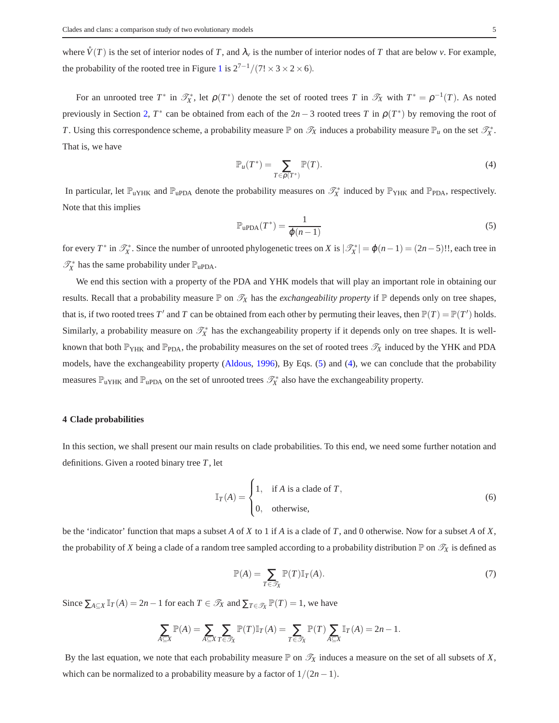where  $\mathring{V}(T)$  is the set of interior nodes of *T*, and  $\lambda_v$  is the number of interior nodes of *T* that are below *v*. For example, the probability of the rooted tree in Figure [1](#page-2-0) is  $2^{7-1}/(7! \times 3 \times 2 \times 6)$ .

For an unrooted tree  $T^*$  in  $\mathcal{T}_X^*$ , let  $\rho(T^*)$  denote the set of rooted trees  $T$  in  $\mathcal{T}_X$  with  $T^* = \rho^{-1}(T)$ . As noted previously in Section [2,](#page-2-1)  $T^*$  can be obtained from each of the  $2n-3$  rooted trees  $T$  in  $\rho(T^*)$  by removing the root of *T*. Using this correspondence scheme, a probability measure  $\mathbb P$  on  $\mathcal T_X$  induces a probability measure  $\mathbb P_u$  on the set  $\mathcal T_X^*$ . That is, we have

<span id="page-4-1"></span>
$$
\mathbb{P}_u(T^*) = \sum_{T \in \rho(T^*)} \mathbb{P}(T). \tag{4}
$$

In particular, let  $\mathbb{P}_{uYHK}$  and  $\mathbb{P}_{uPDA}$  denote the probability measures on  $\mathcal{T}_X^*$  induced by  $\mathbb{P}_{YHK}$  and  $\mathbb{P}_{PDA}$ , respectively. Note that this implies

<span id="page-4-0"></span>
$$
\mathbb{P}_{\text{uPDA}}(T^*) = \frac{1}{\varphi(n-1)}\tag{5}
$$

for every *T*<sup>\*</sup> in  $\mathcal{T}_X^*$ . Since the number of unrooted phylogenetic trees on *X* is  $|\mathcal{T}_X^*| = \varphi(n-1) = (2n-5)!!$ , each tree in  $\mathcal{T}_{X}^{*}$  has the same probability under  $\mathbb{P}_{\text{uPDA}}$ .

We end this section with a property of the PDA and YHK models that will play an important role in obtaining our results. Recall that a probability measure  $\mathbb P$  on  $\mathscr T_X$  has the *exchangeability property* if  $\mathbb P$  depends only on tree shapes, that is, if two rooted trees  $T'$  and  $T$  can be obtained from each other by permuting their leaves, then  $\mathbb{P}(T) = \mathbb{P}(T')$  holds. Similarly, a probability measure on  $\mathcal{T}_X^*$  has the exchangeability property if it depends only on tree shapes. It is wellknown that both  $\mathbb{P}_{YHK}$  and  $\mathbb{P}_{PDA}$ , the probability measures on the set of rooted trees  $\mathcal{T}_X$  induced by the YHK and PDA models, have the exchangeability property [\(Aldous](#page-19-3), [1996\)](#page-19-3), By Eqs. [\(5\)](#page-4-0) and [\(4\)](#page-4-1), we can conclude that the probability measures  $\mathbb{P}_{uYHK}$  and  $\mathbb{P}_{uPDA}$  on the set of unrooted trees  $\mathcal{T}_X^*$  also have the exchangeability property.

# **4 Clade probabilities**

In this section, we shall present our main results on clade probabilities. To this end, we need some further notation and definitions. Given a rooted binary tree *T*, let

$$
\mathbb{I}_T(A) = \begin{cases} 1, & \text{if } A \text{ is a clade of } T, \\ 0, & \text{otherwise,} \end{cases}
$$
 (6)

be the 'indicator' function that maps a subset *A* of *X* to 1 if *A* is a clade of *T*, and 0 otherwise. Now for a subset *A* of *X*, the probability of *X* being a clade of a random tree sampled according to a probability distribution  $\mathbb P$  on  $\mathscr T_X$  is defined as

<span id="page-4-2"></span>
$$
\mathbb{P}(A) = \sum_{T \in \mathcal{I}_X} \mathbb{P}(T) \mathbb{I}_T(A). \tag{7}
$$

Since  $\sum_{A \subseteq X} \mathbb{I}_T(A) = 2n - 1$  for each  $T \in \mathcal{T}_X$  and  $\sum_{T \in \mathcal{T}_X} \mathbb{P}(T) = 1$ , we have

$$
\sum_{A\subseteq X} \mathbb{P}(A) = \sum_{A\subseteq X} \sum_{T\in\mathcal{I}_X} \mathbb{P}(T) \mathbb{I}_T(A) = \sum_{T\in\mathcal{I}_X} \mathbb{P}(T) \sum_{A\subseteq X} \mathbb{I}_T(A) = 2n - 1.
$$

By the last equation, we note that each probability measure  $\mathbb P$  on  $\mathscr T_X$  induces a measure on the set of all subsets of *X*, which can be normalized to a probability measure by a factor of  $1/(2n-1)$ .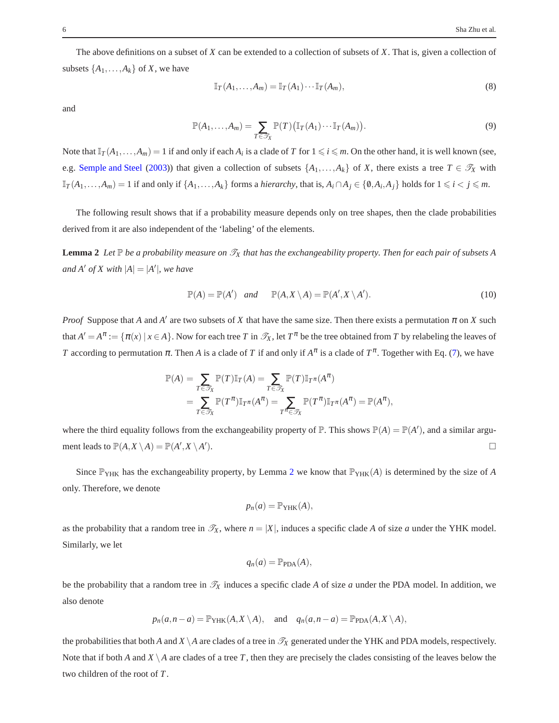The above definitions on a subset of *X* can be extended to a collection of subsets of *X*. That is, given a collection of subsets  $\{A_1, \ldots, A_k\}$  of *X*, we have

$$
\mathbb{I}_T(A_1,\ldots,A_m)=\mathbb{I}_T(A_1)\cdots\mathbb{I}_T(A_m),\tag{8}
$$

and

$$
\mathbb{P}(A_1,\ldots,A_m)=\sum_{T\in\mathscr{T}_X}\mathbb{P}(T)\big(\mathbb{I}_T(A_1)\cdots\mathbb{I}_T(A_m)\big).
$$
\n(9)

Note that  $\mathbb{I}_T(A_1,\ldots,A_m)=1$  if and only if each  $A_i$  is a clade of *T* for  $1\leq i\leq m$ . On the other hand, it is well known (see, e.g. [Semple and Steel](#page-20-12) [\(2003\)](#page-20-12)) that given a collection of subsets  $\{A_1,\ldots,A_k\}$  of *X*, there exists a tree  $T \in \mathcal{T}_X$  with  $\mathbb{I}_T(A_1,\ldots,A_m)=1$  if and only if  $\{A_1,\ldots,A_k\}$  forms a *hierarchy*, that is,  $A_i \cap A_j \in \{0,A_i,A_j\}$  holds for  $1 \leq i < j \leq m$ .

The following result shows that if a probability measure depends only on tree shapes, then the clade probabilities derived from it are also independent of the 'labeling' of the elements.

**Lemma 2** Let  $\mathbb P$  be a probability measure on  $\mathcal T_X$  that has the exchangeability property. Then for each pair of subsets A *and*  $A'$  *of*  $X$  *with*  $|A| = |A'|$ *, we have* 

<span id="page-5-0"></span>
$$
\mathbb{P}(A) = \mathbb{P}(A') \quad and \qquad \mathbb{P}(A, X \setminus A) = \mathbb{P}(A', X \setminus A'). \tag{10}
$$

*Proof* Suppose that *A* and *A'* are two subsets of *X* that have the same size. Then there exists a permutation  $\pi$  on *X* such that  $A' = A^{\pi} := \{\pi(x) \mid x \in A\}$ . Now for each tree *T* in  $\mathcal{T}_X$ , let  $T^{\pi}$  be the tree obtained from *T* by relabeling the leaves of *T* according to permutation  $\pi$ . Then *A* is a clade of *T* if and only if  $A^{\pi}$  is a clade of  $T^{\pi}$ . Together with Eq. [\(7\)](#page-4-2), we have

$$
\mathbb{P}(A) = \sum_{T \in \mathcal{T}_X} \mathbb{P}(T) \mathbb{I}_T(A) = \sum_{T \in \mathcal{T}_X} \mathbb{P}(T) \mathbb{I}_{T^{\pi}}(A^{\pi}) \n= \sum_{T \in \mathcal{T}_X} \mathbb{P}(T^{\pi}) \mathbb{I}_{T^{\pi}}(A^{\pi}) = \sum_{T^{\pi} \in \mathcal{T}_X} \mathbb{P}(T^{\pi}) \mathbb{I}_{T^{\pi}}(A^{\pi}) = \mathbb{P}(A^{\pi}),
$$

where the third equality follows from the exchangeability property of  $\mathbb P$ . This shows  $\mathbb P(A) = \mathbb P(A')$ , and a similar argument leads to  $\mathbb{P}(A, X \setminus A) = \mathbb{P}(A', X \setminus A'$ ).  $\Box$ 

Since  $\mathbb{P}_{YHK}$  has the exchangeability property, by Lemma [2](#page-5-0) we know that  $\mathbb{P}_{YHK}(A)$  is determined by the size of A only. Therefore, we denote

$$
p_n(a) = \mathbb{P}_{YHK}(A),
$$

as the probability that a random tree in  $\mathcal{T}_X$ , where  $n = |X|$ , induces a specific clade *A* of size *a* under the YHK model. Similarly, we let

$$
q_n(a) = \mathbb{P}_{\text{PDA}}(A),
$$

be the probability that a random tree in  $\mathcal{T}_X$  induces a specific clade A of size a under the PDA model. In addition, we also denote

$$
p_n(a, n-a) = \mathbb{P}_{YHK}(A, X \setminus A),
$$
 and  $q_n(a, n-a) = \mathbb{P}_{PDA}(A, X \setminus A),$ 

the probabilities that both *A* and *X*  $\setminus$  *A* are clades of a tree in  $\mathcal{T}_X$  generated under the YHK and PDA models, respectively. Note that if both *A* and *X*  $\setminus$  *A* are clades of a tree *T*, then they are precisely the clades consisting of the leaves below the two children of the root of *T*.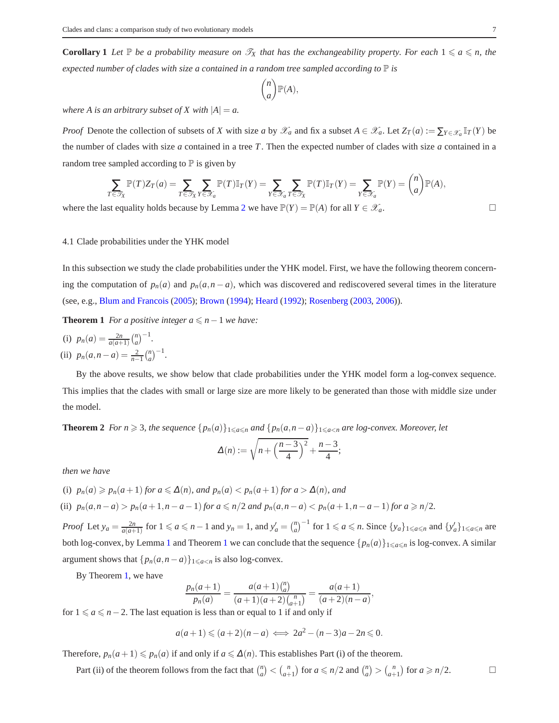**Corollary 1** Let  $\mathbb P$  be a probability measure on  $\mathscr T_X$  that has the exchangeability property. For each  $1 \le a \le n$ , the *expected number of clades with size a contained in a random tree sampled according to*  $\mathbb P$  *is* 

$$
\binom{n}{a}\mathbb{P}(A),
$$

*where A is an arbitrary subset of X with*  $|A| = a$ .

*Proof* Denote the collection of subsets of *X* with size *a* by  $\mathscr{X}_a$  and fix a subset  $A \in \mathscr{X}_a$ . Let  $Z_T(a) := \sum_{Y \in \mathscr{X}_a} \mathbb{I}_T(Y)$  be the number of clades with size *a* contained in a tree *T*. Then the expected number of clades with size *a* contained in a random tree sampled according to  $\mathbb P$  is given by

$$
\sum_{T \in \mathcal{T}_X} \mathbb{P}(T) Z_T(a) = \sum_{T \in \mathcal{T}_X} \sum_{Y \in \mathcal{X}_a} \mathbb{P}(T) \mathbb{I}_T(Y) = \sum_{Y \in \mathcal{X}_a} \sum_{T \in \mathcal{T}_X} \mathbb{P}(T) \mathbb{I}_T(Y) = \sum_{Y \in \mathcal{X}_a} \mathbb{P}(Y) = {n \choose a} \mathbb{P}(A),
$$

<span id="page-6-1"></span>where the last equality holds because by Lemma [2](#page-5-0) we have  $\mathbb{P}(Y) = \mathbb{P}(A)$  for all  $Y \in \mathcal{X}_a$ .

## 4.1 Clade probabilities under the YHK model

In this subsection we study the clade probabilities under the YHK model. First, we have the following theorem concerning the computation of  $p_n(a)$  and  $p_n(a, n - a)$ , which was discovered and rediscovered several times in the literature (see, e.g., [Blum and Francois](#page-19-4) [\(2005\)](#page-19-4); [Brown](#page-19-5) [\(1994\)](#page-19-5); [Heard](#page-20-22) [\(1992](#page-20-22)); [Rosenberg](#page-20-23) [\(2003,](#page-20-23) [2006\)](#page-20-24)).

**Theorem 1** *For a positive integer*  $a \le n-1$  *we have:* 

(i) 
$$
p_n(a) = \frac{2n}{a(a+1)} {n \choose a}^{-1}
$$
.  
(ii)  $p_n(a, n-a) = \frac{2}{n-1} {n \choose a}^{-1}$ .

By the above results, we show below that clade probabilities under the YHK model form a log-convex sequence. This implies that the clades with small or large size are more likely to be generated than those with middle size under the model.

<span id="page-6-2"></span>**Theorem 2** *For n* ≥ 3*, the sequence*  ${p_n(a)}_1 \leq a \leq n}$  *and*  ${p_n(a,n-a)}_1 \leq a \leq n$  *are log-convex. Moreover, let* 

<span id="page-6-0"></span>
$$
\Delta(n):=\sqrt{n+\left(\frac{n-3}{4}\right)^2}+\frac{n-3}{4};
$$

*then we have*

(i) 
$$
p_n(a) \geq p_n(a+1)
$$
 for  $a \leq \Delta(n)$ , and  $p_n(a) < p_n(a+1)$  for  $a > \Delta(n)$ , and

(ii)  $p_n(a, n-a) > p_n(a+1, n-a-1)$  for  $a \le n/2$  and  $p_n(a, n-a) < p_n(a+1, n-a-1)$  for  $a \ge n/2$ .

*Proof* Let  $y_a = \frac{2n}{a(a+1)}$  for  $1 \le a \le n-1$  and  $y_n = 1$ , and  $y'_a = {n \choose a}^{-1}$  for  $1 \le a \le n$ . Since  $\{y_a\}_{1 \le a \le n}$  and  $\{y'_a\}_{1 \le a \le n}$  are both log-convex, by Lemma [1](#page-6-0) and Theorem 1 we can conclude that the sequence  $\{p_n(a)\}_{1\leq a\leq n}$  is log-convex. A similar argument shows that  $\{p_n(a, n-a)\}_{1\leq a\leq n}$  is also log-convex.

By Theorem [1,](#page-6-0) we have

$$
\frac{p_n(a+1)}{p_n(a)} = \frac{a(a+1)\binom{n}{a}}{(a+1)(a+2)\binom{n}{a+1}} = \frac{a(a+1)}{(a+2)(n-a)},
$$

*p<sub>n(a)</sub>*  $(a+1)(a+2)(a+1)$  (a)<br>for 1 ≤ *a* ≤ *n*−2. The last equation is less than or equal to 1 if and only if

$$
a(a+1) \leqslant (a+2)(n-a) \iff 2a^2 - (n-3)a - 2n \leqslant 0.
$$

Therefore,  $p_n(a+1) \leq p_n(a)$  if and only if  $a \leq \Delta(n)$ . This establishes Part (i) of the theorem.

Part (ii) of the theorem follows from the fact that  $\binom{n}{a} < \binom{n}{a+1}$  for  $a \leq n/2$  and  $\binom{n}{a} > \binom{n}{a+1}$  for  $a \geq n/2$ .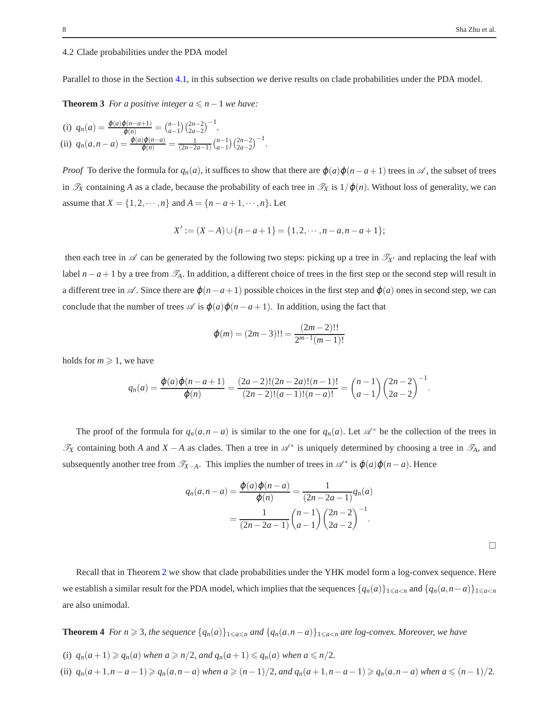# <span id="page-7-1"></span>4.2 Clade probabilities under the PDA model

Parallel to those in the Section [4.1,](#page-6-1) in this subsection we derive results on clade probabilities under the PDA model.

**Theorem 3** *For a positive integer*  $a \le n-1$  *we have:* 

(i) 
$$
q_n(a) = \frac{\varphi(a)\varphi(n-a+1)}{\varphi(n)} = {n-1 \choose a-1} {2n-2 \choose 2a-2}^{-1}
$$
.  
\n(ii)  $q_n(a,n-a) = \frac{\varphi(a)\varphi(n-a)}{\varphi(n)} = \frac{1}{(2n-2a-1)} {n-1 \choose a-1} {2n-2 \choose 2a-2}^{-1}$ .

*Proof* To derive the formula for  $q_n(a)$ , it suffices to show that there are  $\varphi(a)\varphi(n-a+1)$  trees in  $\mathscr A$ , the subset of trees in  $\mathcal{T}_X$  containing *A* as a clade, because the probability of each tree in  $\mathcal{T}_X$  is  $1/\varphi(n)$ . Without loss of generality, we can assume that  $X = \{1, 2, \dots, n\}$  and  $A = \{n - a + 1, \dots, n\}$ . Let

<span id="page-7-0"></span>
$$
X' := (X - A) \cup \{n - a + 1\} = \{1, 2, \cdots, n - a, n - a + 1\};
$$

then each tree in  $\mathscr A$  can be generated by the following two steps: picking up a tree in  $\mathscr T_{X'}$  and replacing the leaf with label  $n-a+1$  by a tree from  $\mathcal{T}_A$ . In addition, a different choice of trees in the first step or the second step will result in a different tree in  $\mathcal A$ . Since there are  $\varphi(n-a+1)$  possible choices in the first step and  $\varphi(a)$  ones in second step, we can conclude that the number of trees  $\mathscr A$  is  $\varphi(a)\varphi(n-a+1)$ . In addition, using the fact that

$$
\varphi(m) = (2m-3)!! = \frac{(2m-2)!!}{2^{m-1}(m-1)!}
$$

holds for  $m \geq 1$ , we have

$$
q_n(a) = \frac{\varphi(a)\varphi(n-a+1)}{\varphi(n)} = \frac{(2a-2)!(2n-2a)!(n-1)!}{(2n-2)!(a-1)!(n-a)!} = {n-1 \choose a-1} {2n-2 \choose 2a-2}^{-1}.
$$

The proof of the formula for  $q_n(a, n - a)$  is similar to the one for  $q_n(a)$ . Let  $\mathcal{A}^*$  be the collection of the trees in  $\mathcal{T}_X$  containing both *A* and  $X - A$  as clades. Then a tree in  $\mathcal{A}^*$  is uniquely determined by choosing a tree in  $\mathcal{T}_A$ , and subsequently another tree from  $\mathscr{T}_{X-A}$ . This implies the number of trees in  $\mathscr{A}^*$  is  $\varphi(a)\varphi(n-a)$ . Hence

$$
q_n(a, n-a) = \frac{\varphi(a)\varphi(n-a)}{\varphi(n)} = \frac{1}{(2n-2a-1)}q_n(a)
$$

$$
= \frac{1}{(2n-2a-1)}\binom{n-1}{a-1}\binom{2n-2}{2a-2}^{-1}.
$$

 $\Box$ 

<span id="page-7-2"></span>Recall that in Theorem [2](#page-6-2) we show that clade probabilities under the YHK model form a log-convex sequence. Here we establish a similar result for the PDA model, which implies that the sequences  $\{q_n(a)\}_{1\leq a\leq n}$  and  $\{q_n(a,n-a)\}_{1\leq a\leq n}$ are also unimodal.

**Theorem 4** *For n* ≥ 3, *the sequence*  $\{q_n(a)\}_{1\leq a\leq n}$  *and*  $\{q_n(a,n-a)\}_{1\leq a\leq n}$  *are log-convex. Moreover, we have* 

- (i)  $q_n(a+1) \geqslant q_n(a)$  when  $a \geqslant n/2$ , and  $q_n(a+1) \leqslant q_n(a)$  when  $a \leqslant n/2$ .
- (ii)  $q_n(a+1, n-a-1) \geq q_n(a, n-a)$  when  $a \geq (n-1)/2$ , and  $q_n(a+1, n-a-1) \geq q_n(a, n-a)$  when  $a \leq (n-1)/2$ .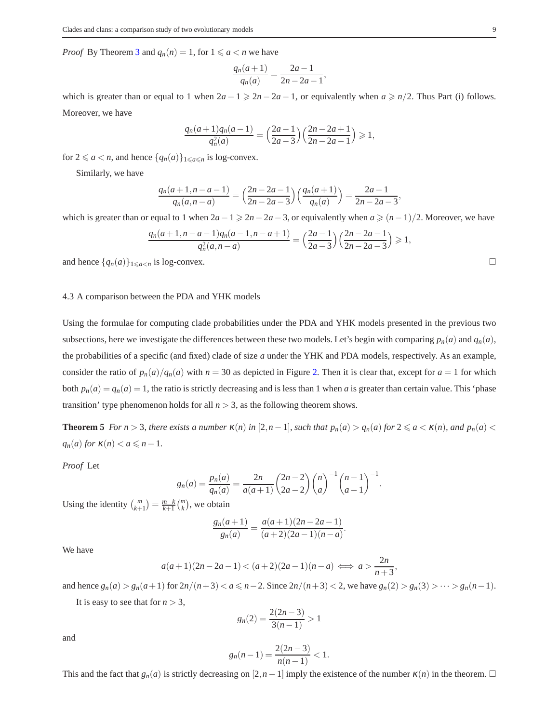*Proof* By Theorem [3](#page-7-0) and  $q_n(n) = 1$ , for  $1 \le a \le n$  we have

$$
\frac{q_n(a+1)}{q_n(a)} = \frac{2a-1}{2n-2a-1},
$$

which is greater than or equal to 1 when  $2a - 1 \ge 2n - 2a - 1$ , or equivalently when  $a \ge n/2$ . Thus Part (i) follows. Moreover, we have

$$
\frac{q_n(a+1)q_n(a-1)}{q_n^2(a)} = \left(\frac{2a-1}{2a-3}\right)\left(\frac{2n-2a+1}{2n-2a-1}\right) \ge 1,
$$

for  $2 \le a < n$ , and hence  $\{q_n(a)\}_{1 \le a \le n}$  is log-convex.

Similarly, we have

$$
\frac{q_n(a+1,n-a-1)}{q_n(a,n-a)} = \left(\frac{2n-2a-1}{2n-2a-3}\right) \left(\frac{q_n(a+1)}{q_n(a)}\right) = \frac{2a-1}{2n-2a-3},
$$

which is greater than or equal to 1 when  $2a-1 \ge 2n-2a-3$ , or equivalently when  $a \ge (n-1)/2$ . Moreover, we have

$$
\frac{q_n(a+1,n-a-1)q_n(a-1,n-a+1)}{q_n^2(a,n-a)} = \left(\frac{2a-1}{2a-3}\right)\left(\frac{2n-2a-1}{2n-2a-3}\right) \ge 1,
$$

and hence  $\{q_n(a)\}\substack{a \leq a \leq n}$  is log-convex.

#### 4.3 A comparison between the PDA and YHK models

Using the formulae for computing clade probabilities under the PDA and YHK models presented in the previous two subsections, here we investigate the differences between these two models. Let's begin with comparing  $p_n(a)$  and  $q_n(a)$ , the probabilities of a specific (and fixed) clade of size *a* under the YHK and PDA models, respectively. As an example, consider the ratio of  $p_n(a)/q_n(a)$  with  $n = 30$  as depicted in Figure [2.](#page-9-0) Then it is clear that, except for  $a = 1$  for which both  $p_n(a) = q_n(a) = 1$ , the ratio is strictly decreasing and is less than 1 when *a* is greater than certain value. This 'phase transition' type phenomenon holds for all  $n > 3$ , as the following theorem shows.

<span id="page-8-0"></span>**Theorem 5** For  $n > 3$ , there exists a number  $\kappa(n)$  in  $[2, n-1]$ , such that  $p_n(a) > q_n(a)$  for  $2 \le a < \kappa(n)$ , and  $p_n(a) <$  $q_n(a)$  *for*  $\kappa(n) < a \leq n-1$ .

*Proof* Let

$$
g_n(a) = \frac{p_n(a)}{q_n(a)} = \frac{2n}{a(a+1)} {2n-2 \choose 2a-2} {n \choose a}^{-1} {n-1 \choose a-1}^{-1}.
$$

Using the identity  $\binom{m}{k+1} = \frac{m-k}{k+1} \binom{m}{k}$ , we obtain

$$
\frac{g_n(a+1)}{g_n(a)} = \frac{a(a+1)(2n-2a-1)}{(a+2)(2a-1)(n-a)}.
$$

We have

$$
a(a+1)(2n-2a-1) < (a+2)(2a-1)(n-a) \iff a > \frac{2n}{n+3}
$$

,

and hence  $g_n(a) > g_n(a+1)$  for  $2n/(n+3) < a \le n-2$ . Since  $2n/(n+3) < 2$ , we have  $g_n(2) > g_n(3) > \cdots > g_n(n-1)$ .

It is easy to see that for  $n > 3$ ,

$$
g_n(2) = \frac{2(2n-3)}{3(n-1)} > 1
$$

and

$$
g_n(n-1) = \frac{2(2n-3)}{n(n-1)} < 1.
$$

This and the fact that  $g_n(a)$  is strictly decreasing on  $[2, n-1]$  imply the existence of the number  $\kappa(n)$  in the theorem.  $\square$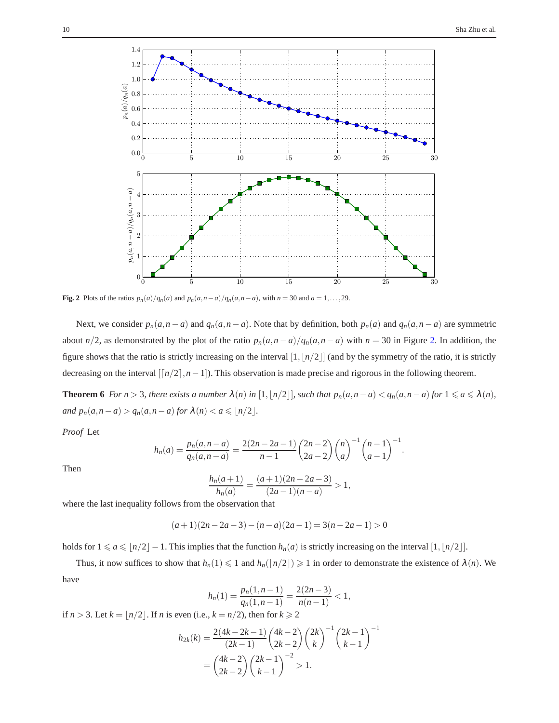

<span id="page-9-0"></span>Fig. 2 Plots of the ratios  $p_n(a)/q_n(a)$  and  $p_n(a, n-a)/q_n(a, n-a)$ , with  $n = 30$  and  $a = 1, ..., 29$ .

Next, we consider  $p_n(a, n-a)$  and  $q_n(a, n-a)$ . Note that by definition, both  $p_n(a)$  and  $q_n(a, n-a)$  are symmetric about *n*/2, as demonstrated by the plot of the ratio  $p_n(a, n - a)/q_n(a, n - a)$  with  $n = 30$  in Figure [2.](#page-9-0) In addition, the figure shows that the ratio is strictly increasing on the interval  $[1, \lfloor n/2 \rfloor]$  (and by the symmetry of the ratio, it is strictly decreasing on the interval  $\lfloor n/2 \rfloor, n-1$ ). This observation is made precise and rigorous in the following theorem.

**Theorem 6** For  $n > 3$ , there exists a number  $\lambda(n)$  in  $[1, \lfloor n/2 \rfloor]$ , such that  $p_n(a, n-a) < q_n(a, n-a)$  for  $1 \le a \le \lambda(n)$ , *and*  $p_n(a, n - a) > q_n(a, n - a)$  *for*  $\lambda(n) < a \leq n/2$ .

*Proof* Let

$$
h_n(a) = \frac{p_n(a, n-a)}{q_n(a, n-a)} = \frac{2(2n-2a-1)}{n-1} {2n-2 \choose 2a-2} {n \choose a}^{-1} {n-1 \choose a-1}^{-1}.
$$

Then

$$
\frac{h_n(a+1)}{h_n(a)} = \frac{(a+1)(2n-2a-3)}{(2a-1)(n-a)} > 1,
$$

where the last inequality follows from the observation that

$$
(a+1)(2n-2a-3)-(n-a)(2a-1)=3(n-2a-1)>0
$$

holds for  $1 \le a \le \lfloor n/2 \rfloor - 1$ . This implies that the function  $h_n(a)$  is strictly increasing on the interval  $[1, \lfloor n/2 \rfloor]$ .

Thus, it now suffices to show that  $h_n(1) \leq 1$  and  $h_n(\lfloor n/2 \rfloor) \geq 1$  in order to demonstrate the existence of  $\lambda(n)$ . We have

$$
h_n(1) = \frac{p_n(1, n-1)}{q_n(1, n-1)} = \frac{2(2n-3)}{n(n-1)} < 1,
$$

if  $n > 3$ . Let  $k = \lfloor n/2 \rfloor$ . If *n* is even (i.e.,  $k = n/2$ ), then for  $k \ge 2$ 

$$
h_{2k}(k) = \frac{2(4k - 2k - 1)}{(2k - 1)} \binom{4k - 2}{2k - 2} \binom{2k}{k}^{-1} \binom{2k - 1}{k - 1}^{-1}
$$

$$
= \binom{4k - 2}{2k - 2} \binom{2k - 1}{k - 1}^{-2} > 1.
$$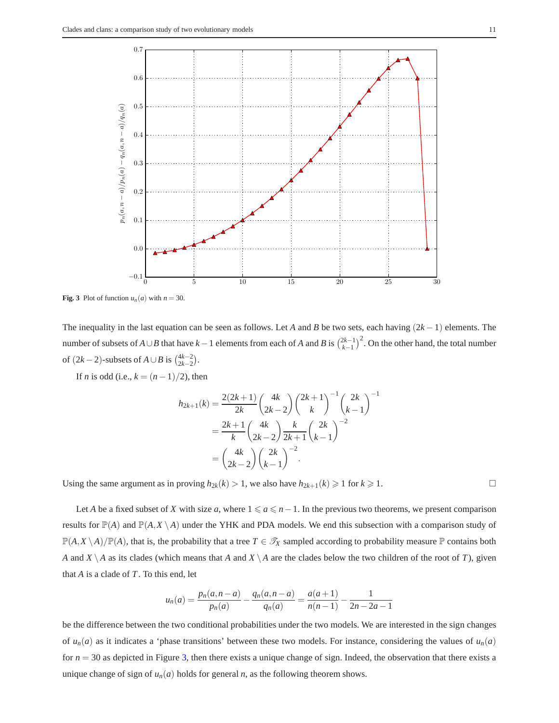

<span id="page-10-0"></span>**Fig. 3** Plot of function  $u_n(a)$  with  $n = 30$ .

The inequality in the last equation can be seen as follows. Let *A* and *B* be two sets, each having (2*k* −1) elements. The number of subsets of  $A \cup B$  that have  $k-1$  elements from each of  $A$  and  $B$  is  $\binom{2k-1}{k-1}^2$ . On the other hand, the total number of  $(2k-2)$ -subsets of *A* ∪ *B* is  $\binom{4k-2}{2k-2}$ .

If *n* is odd (i.e.,  $k = (n-1)/2$ ), then

$$
h_{2k+1}(k) = \frac{2(2k+1)}{2k} \binom{4k}{2k-2} \binom{2k+1}{k}^{-1} \binom{2k}{k-1}^{-1}
$$

$$
= \frac{2k+1}{k} \binom{4k}{2k-2} \frac{k}{2k+1} \binom{2k}{k-1}^{-2}
$$

$$
= \binom{4k}{2k-2} \binom{2k}{k-1}^{-2}.
$$

Using the same argument as in proving  $h_{2k}(k) > 1$ , we also have  $h_{2k+1}(k) \ge 1$  for  $k \ge 1$ .

Let *A* be a fixed subset of *X* with size *a*, where  $1 \le a \le n - 1$ . In the previous two theorems, we present comparison results for  $\mathbb{P}(A)$  and  $\mathbb{P}(A,X \setminus A)$  under the YHK and PDA models. We end this subsection with a comparison study of  $\mathbb{P}(A, X \setminus A)/\mathbb{P}(A)$ , that is, the probability that a tree  $T \in \mathcal{T}_X$  sampled according to probability measure  $\mathbb P$  contains both *A* and *X* \ *A* as its clades (which means that *A* and *X* \ *A* are the clades below the two children of the root of *T*), given that *A* is a clade of *T*. To this end, let

$$
u_n(a) = \frac{p_n(a, n-a)}{p_n(a)} - \frac{q_n(a, n-a)}{q_n(a)} = \frac{a(a+1)}{n(n-1)} - \frac{1}{2n-2a-1}
$$

be the difference between the two conditional probabilities under the two models. We are interested in the sign changes of  $u_n(a)$  as it indicates a 'phase transitions' between these two models. For instance, considering the values of  $u_n(a)$ for *n* = 30 as depicted in Figure [3,](#page-10-0) then there exists a unique change of sign. Indeed, the observation that there exists a unique change of sign of  $u_n(a)$  holds for general *n*, as the following theorem shows.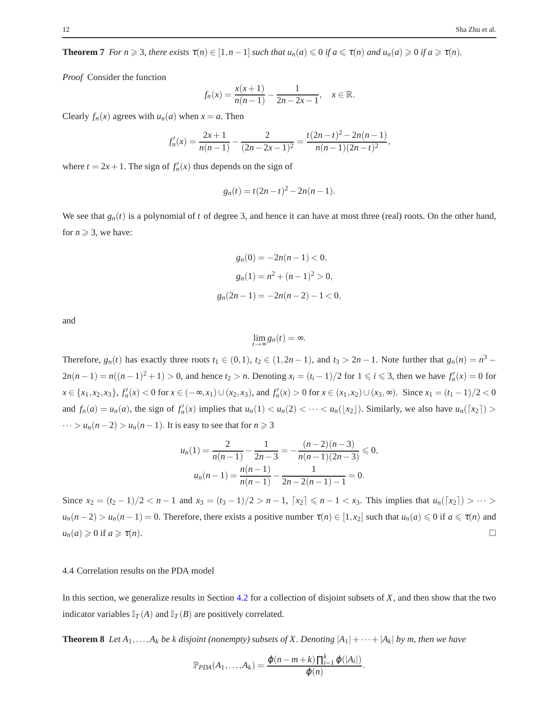**Theorem 7** *For n*  $\geq$  3*, there exists*  $\tau(n) \in [1, n-1]$  *such that*  $u_n(a) \leq 0$  *if a*  $\leq \tau(n)$  *and*  $u_n(a) \geq 0$  *if a*  $\geq \tau(n)$ *.* 

*Proof* Consider the function

$$
f_n(x) = \frac{x(x+1)}{n(n-1)} - \frac{1}{2n-2x-1}, \quad x \in \mathbb{R}.
$$

Clearly  $f_n(x)$  agrees with  $u_n(a)$  when  $x = a$ . Then

$$
f'_n(x) = \frac{2x+1}{n(n-1)} - \frac{2}{(2n-2x-1)^2} = \frac{t(2n-t)^2 - 2n(n-1)}{n(n-1)(2n-t)^2},
$$

where  $t = 2x + 1$ . The sign of  $f'_n(x)$  thus depends on the sign of

$$
g_n(t) = t(2n - t)^2 - 2n(n - 1).
$$

We see that  $g_n(t)$  is a polynomial of *t* of degree 3, and hence it can have at most three (real) roots. On the other hand, for  $n \geqslant 3$ , we have:

$$
g_n(0) = -2n(n-1) < 0,
$$
\n
$$
g_n(1) = n^2 + (n-1)^2 > 0,
$$
\n
$$
g_n(2n-1) = -2n(n-2) - 1 < 0,
$$

and

 $\lim_{t\to\infty}g_n(t)=\infty.$ 

Therefore,  $g_n(t)$  has exactly three roots  $t_1 \in (0,1)$ ,  $t_2 \in (1,2n-1)$ , and  $t_3 > 2n-1$ . Note further that  $g_n(n) = n^3 - 1$  $2n(n-1) = n((n-1)^2 + 1) > 0$ , and hence  $t_2 > n$ . Denoting  $x_i = (t_i - 1)/2$  for  $1 \le i \le 3$ , then we have  $f'_n(x) = 0$  for  $x \in \{x_1, x_2, x_3\}$ ,  $f'_n(x) < 0$  for  $x \in (-\infty, x_1) \cup (x_2, x_3)$ , and  $f'_n(x) > 0$  for  $x \in (x_1, x_2) \cup (x_3, \infty)$ . Since  $x_1 = (t_1 - 1)/2 < 0$ and  $f_n(a) = u_n(a)$ , the sign of  $f'_n(x)$  implies that  $u_n(1) < u_n(2) < \cdots < u_n(\lfloor x_2 \rfloor)$ . Similarly, we also have  $u_n(\lfloor x_2 \rfloor) >$  $\cdots > u_n(n-2) > u_n(n-1)$ . It is easy to see that for  $n \ge 3$ 

$$
u_n(1) = \frac{2}{n(n-1)} - \frac{1}{2n-3} = -\frac{(n-2)(n-3)}{n(n-1)(2n-3)} \le 0,
$$
  

$$
u_n(n-1) = \frac{n(n-1)}{n(n-1)} - \frac{1}{2n-2(n-1)-1} = 0.
$$

Since  $x_2 = (t_2 - 1)/2 < n - 1$  and  $x_3 = (t_3 - 1)/2 > n - 1$ ,  $[x_2] \le n - 1 < x_3$ . This implies that  $u_n([x_2]) > \cdots >$  $u_n(n-2) > u_n(n-1) = 0$ . Therefore, there exists a positive number  $\tau(n) \in [1, x_2]$  such that  $u_n(a) \leq 0$  if  $a \leq \tau(n)$  and  $u_n(a) \geq 0$  if  $a \geq \tau(n)$ .

### 4.4 Correlation results on the PDA model

<span id="page-11-0"></span>In this section, we generalize results in Section [4.2](#page-7-1) for a collection of disjoint subsets of *X*, and then show that the two indicator variables  $\mathbb{I}_T(A)$  and  $\mathbb{I}_T(B)$  are positively correlated.

**Theorem 8** *Let*  $A_1, \ldots, A_k$  *be k* disjoint (nonempty) subsets of X. Denoting  $|A_1| + \cdots + |A_k|$  by m, then we have

$$
\mathbb{P}_{PDA}(A_1,\ldots,A_k)=\frac{\varphi(n-m+k)\prod_{i=1}^k\varphi(|A_i|)}{\varphi(n)}.
$$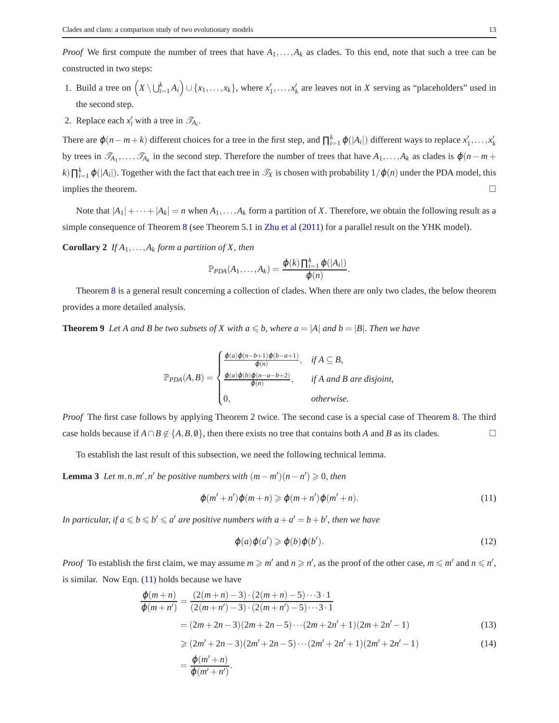*Proof* We first compute the number of trees that have  $A_1, \ldots, A_k$  as clades. To this end, note that such a tree can be constructed in two steps:

- 1. Build a tree on  $(X \setminus \bigcup_{i=1}^k A_i) \cup \{x_1, \ldots, x_k\}$ , where  $x'_1, \ldots, x'_k$  are leaves not in *X* serving as "placeholders" used in the second step.
- 2. Replace each  $x'_i$  with a tree in  $\mathcal{T}_{A_i}$ .

There are  $\varphi(n-m+k)$  different choices for a tree in the first step, and  $\prod_{i=1}^{k} \varphi(|A_i|)$  different ways to replace  $x'_1, \ldots, x'_k$ by trees in  $\mathcal{T}_{A_1},\ldots,\mathcal{T}_{A_k}$  in the second step. Therefore the number of trees that have  $A_1,\ldots,A_k$  as clades is  $\varphi(n-m+1)$  $\kappa$ ) $\prod_{i=1}^k \varphi(|A_i|)$ . Together with the fact that each tree in  $\mathscr{T}_X$  is chosen with probability  $1/\varphi(n)$  under the PDA model, this implies the theorem.  $\Box$ 

Note that  $|A_1| + \cdots + |A_k| = n$  when  $A_1, \ldots, A_k$  form a partition of X. Therefore, we obtain the following result as a simple consequence of Theorem [8](#page-11-0) (see Theorem 5.1 in [Zhu et al](#page-20-25) [\(2011\)](#page-20-25) for a parallel result on the YHK model).

**Corollary 2** If  $A_1, \ldots, A_k$  form a partition of X, then

$$
\mathbb{P}_{PDA}(A_1,\ldots,A_k)=\frac{\varphi(k)\prod_{i=1}^k\varphi(|A_i|)}{\varphi(n)}.
$$

<span id="page-12-4"></span>Theorem [8](#page-11-0) is a general result concerning a collection of clades. When there are only two clades, the below theorem provides a more detailed analysis.

**Theorem 9** *Let A and B be two subsets of X with*  $a \leq b$ *, where*  $a = |A|$  *and*  $b = |B|$ *. Then we have* 

$$
\mathbb{P}_{PDA}(A,B) = \begin{cases} \frac{\varphi(a)\varphi(n-b+1)\varphi(b-a+1)}{\varphi(n)}, & \text{if } A \subseteq B, \\ \frac{\varphi(a)\varphi(b)\varphi(n-a-b+2)}{\varphi(n)}, & \text{if } A \text{ and } B \text{ are disjoint,} \\ 0, & \text{otherwise.} \end{cases}
$$

*Proof* The first case follows by applying Theorem 2 twice. The second case is a special case of Theorem [8.](#page-11-0) The third case holds because if  $A ∩ B \notin \{A, B, \emptyset\}$ , then there exists no tree that contains both *A* and *B* as its clades.

<span id="page-12-3"></span>To establish the last result of this subsection, we need the following technical lemma.

**Lemma 3** *Let*  $m, n, m', n'$  *be positive numbers with*  $(m - m')(n - n') \ge 0$ *, then* 

<span id="page-12-0"></span>
$$
\varphi(m'+n')\varphi(m+n) \geqslant \varphi(m+n')\varphi(m'+n). \tag{11}
$$

In particular, if  $a \leqslant b \leqslant b' \leqslant a'$  are positive numbers with  $a+a'=b+b'$ , then we have

<span id="page-12-2"></span><span id="page-12-1"></span>
$$
\varphi(a)\varphi(a') \geqslant \varphi(b)\varphi(b').\tag{12}
$$

*Proof* To establish the first claim, we may assume  $m \geq m'$  and  $n \geq n'$ , as the proof of the other case,  $m \leq m'$  and  $n \leq n'$ , is similar. Now Eqn.  $(11)$  holds because we have

$$
\frac{\varphi(m+n)}{\varphi(m+n')} = \frac{(2(m+n)-3)\cdot(2(m+n)-5)\cdots3\cdot1}{(2(m+n')-3)\cdot(2(m+n')-5)\cdots3\cdot1} \n= (2m+2n-3)(2m+2n-5)\cdots(2m+2n'+1)(2m+2n'-1)
$$
\n(13)

$$
\geq (2m'+2n-3)(2m'+2n-5)\cdots(2m'+2n'+1)(2m'+2n'-1)
$$
\n(14)

$$
=\frac{\varphi(m'+n)}{\varphi(m'+n')}.
$$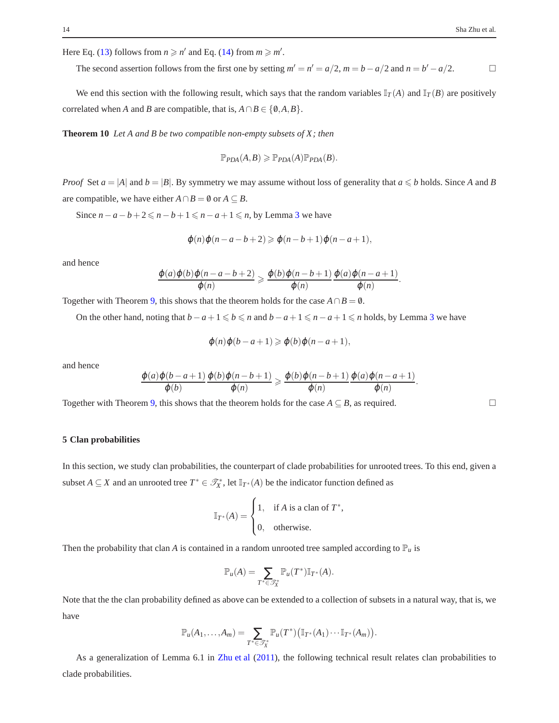Here Eq. [\(13\)](#page-12-1) follows from  $n \ge n'$  and Eq. [\(14\)](#page-12-2) from  $m \ge m'$ .

The second assertion follows from the first one by setting  $m' = n' = a/2$ ,  $m = b - a/2$  and  $n = b' - a/2$ .

We end this section with the following result, which says that the random variables  $\mathbb{I}_T(A)$  and  $\mathbb{I}_T(B)$  are positively correlated when *A* and *B* are compatible, that is,  $A \cap B \in \{0, A, B\}.$ 

**Theorem 10** *Let A and B be two compatible non-empty subsets of X; then*

$$
\mathbb{P}_{PDA}(A,B) \geqslant \mathbb{P}_{PDA}(A)\mathbb{P}_{PDA}(B).
$$

*Proof* Set  $a = |A|$  and  $b = |B|$ . By symmetry we may assume without loss of generality that  $a \leq b$  holds. Since *A* and *B* are compatible, we have either  $A \cap B = \emptyset$  or  $A \subseteq B$ .

Since  $n - a - b + 2 \le n - b + 1 \le n - a + 1 \le n$ , by Lemma [3](#page-12-3) we have

$$
\varphi(n)\varphi(n-a-b+2) \geqslant \varphi(n-b+1)\varphi(n-a+1),
$$

and hence

$$
\frac{\varphi(a)\varphi(b)\varphi(n-a-b+2)}{\varphi(n)} \geq \frac{\varphi(b)\varphi(n-b+1)}{\varphi(n)} \frac{\varphi(a)\varphi(n-a+1)}{\varphi(n)}.
$$

Together with Theorem [9,](#page-12-4) this shows that the theorem holds for the case  $A \cap B = \emptyset$ .

On the other hand, noting that  $b-a+1 \leq b \leq n$  and  $b-a+1 \leq n-a+1 \leq n$  holds, by Lemma [3](#page-12-3) we have

$$
\varphi(n)\varphi(b-a+1) \geq \varphi(b)\varphi(n-a+1),
$$

and hence

$$
\frac{\varphi(a)\varphi(b-a+1)}{\varphi(b)}\frac{\varphi(b)\varphi(n-b+1)}{\varphi(n)}\geqslant \frac{\varphi(b)\varphi(n-b+1)}{\varphi(n)}\frac{\varphi(a)\varphi(n-a+1)}{\varphi(n)}.
$$

Together with Theorem [9,](#page-12-4) this shows that the theorem holds for the case  $A \subseteq B$ , as required.

#### **5 Clan probabilities**

In this section, we study clan probabilities, the counterpart of clade probabilities for unrooted trees. To this end, given a subset *A*  $\subseteq$  *X* and an unrooted tree  $T^* \in \mathcal{T}_X^*$ , let  $\mathbb{I}_{T^*}(A)$  be the indicator function defined as

$$
\mathbb{I}_{T^*}(A) = \begin{cases} 1, & \text{if } A \text{ is a clean of } T^* \\ 0, & \text{otherwise.} \end{cases}
$$

,

Then the probability that clan *A* is contained in a random unrooted tree sampled according to  $\mathbb{P}_u$  is

$$
\mathbb{P}_u(A) = \sum_{T^* \in \mathcal{T}^*_X} \mathbb{P}_u(T^*) \mathbb{I}_{T^*}(A).
$$

Note that the the clan probability defined as above can be extended to a collection of subsets in a natural way, that is, we have

<span id="page-13-0"></span>
$$
\mathbb{P}_u(A_1,\ldots,A_m)=\sum_{T^*\in\mathscr{T}_X^*}\mathbb{P}_u(T^*)\big(\mathbb{I}_{T^*}(A_1)\cdots\mathbb{I}_{T^*}(A_m)\big).
$$

As a generalization of Lemma 6.1 in [Zhu et al](#page-20-25) [\(2011\)](#page-20-25), the following technical result relates clan probabilities to clade probabilities.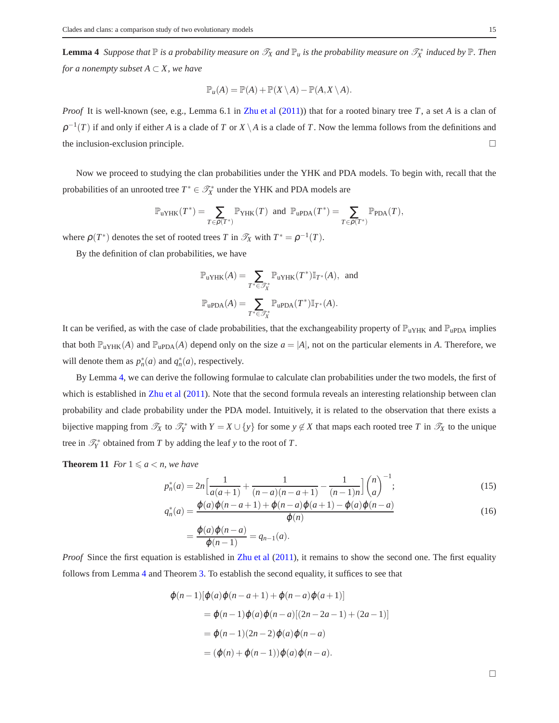**Lemma 4** Suppose that  $\mathbb P$  is a probability measure on  $\mathscr T_X$  and  $\mathbb P_u$  is the probability measure on  $\mathscr T_X^*$  induced by  $\mathbb P$ . Then *for a nonempty subset*  $A \subset X$ *, we have* 

$$
\mathbb{P}_u(A) = \mathbb{P}(A) + \mathbb{P}(X \setminus A) - \mathbb{P}(A, X \setminus A).
$$

*Proof* It is well-known (see, e.g., Lemma 6.1 in [Zhu et al](#page-20-25) [\(2011\)](#page-20-25)) that for a rooted binary tree *T*, a set *A* is a clan of  $\rho^{-1}(T)$  if and only if either *A* is a clade of *T* or *X* \ *A* is a clade of *T*. Now the lemma follows from the definitions and the inclusion-exclusion principle.  $\Box$ 

Now we proceed to studying the clan probabilities under the YHK and PDA models. To begin with, recall that the probabilities of an unrooted tree  $T^* \in \mathcal{T}_X^*$  under the YHK and PDA models are

$$
\mathbb{P}_{\textbf{u}{\textbf{YHK}}}(T^*) = \sum_{T\in\rho(T^*)}\mathbb{P}_{\textbf{YHK}}(T) \text{ and } \mathbb{P}_{\textbf{u}\textbf{PDA}}(T^*) = \sum_{T\in\rho(T^*)}\mathbb{P}_{\textbf{PDA}}(T),
$$

where  $\rho(T^*)$  denotes the set of rooted trees *T* in  $\mathcal{T}_X$  with  $T^* = \rho^{-1}(T)$ .

By the definition of clan probabilities, we have

$$
\mathbb{P}_{\textbf{u}{\textbf{YHK}}}(A) = \sum_{T^* \in \mathscr{T}^*_X} \mathbb{P}_{\textbf{u}{\textbf{YHK}}}(T^*) \mathbb{I}_{T^*}(A), \text{ and}
$$
  

$$
\mathbb{P}_{\textbf{u}{\textbf{PDA}}}(A) = \sum_{T^* \in \mathscr{T}^*_X} \mathbb{P}_{\textbf{u}{\textbf{PDA}}}(T^*) \mathbb{I}_{T^*}(A).
$$

It can be verified, as with the case of clade probabilities, that the exchangeability property of  $\mathbb{P}_{u}$ <sub>HK</sub> and  $\mathbb{P}_{u}$ <sub>PDA</sub> implies that both  $\mathbb{P}_{uYHK}(A)$  and  $\mathbb{P}_{uPDA}(A)$  depend only on the size  $a = |A|$ , not on the particular elements in A. Therefore, we will denote them as  $p_n^*(a)$  and  $q_n^*(a)$ , respectively.

By Lemma [4,](#page-13-0) we can derive the following formulae to calculate clan probabilities under the two models, the first of which is established in [Zhu et al](#page-20-25) [\(2011\)](#page-20-25). Note that the second formula reveals an interesting relationship between clan probability and clade probability under the PDA model. Intuitively, it is related to the observation that there exists a bijective mapping from  $\mathcal{T}_X$  to  $\mathcal{T}_Y^*$  with  $Y = X \cup \{y\}$  for some  $y \notin X$  that maps each rooted tree *T* in  $\mathcal{T}_X$  to the unique tree in  $\mathcal{T}_Y^*$  obtained from *T* by adding the leaf *y* to the root of *T*.

<span id="page-14-0"></span>**Theorem 11** *For*  $1 \le a \le n$ *, we have* 

$$
p_n^*(a) = 2n \left[ \frac{1}{a(a+1)} + \frac{1}{(n-a)(n-a+1)} - \frac{1}{(n-1)n} \right] \binom{n}{a}^{-1};
$$
\n(15)

$$
q_n^*(a) = \frac{\varphi(a)\varphi(n-a+1) + \varphi(n-a)\varphi(a+1) - \varphi(a)\varphi(n-a)}{\varphi(n)}
$$
(16)  

$$
\varphi(a)\varphi(n-a)
$$

$$
=\frac{\varphi(a)\varphi(n-a)}{\varphi(n-1)}=q_{n-1}(a).
$$

*Proof* Since the first equation is established in [Zhu et al](#page-20-25) [\(2011\)](#page-20-25), it remains to show the second one. The first equality follows from Lemma [4](#page-13-0) and Theorem [3.](#page-7-0) To establish the second equality, it suffices to see that

$$
\varphi(n-1)[\varphi(a)\varphi(n-a+1) + \varphi(n-a)\varphi(a+1)]
$$
  
=  $\varphi(n-1)\varphi(a)\varphi(n-a)[(2n-2a-1) + (2a-1)]$   
=  $\varphi(n-1)(2n-2)\varphi(a)\varphi(n-a)$   
=  $(\varphi(n) + \varphi(n-1))\varphi(a)\varphi(n-a)$ .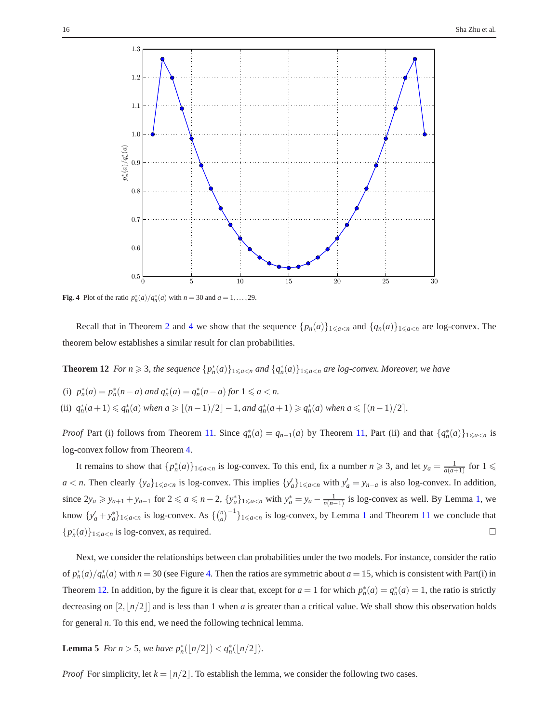

<span id="page-15-0"></span>**Fig. 4** Plot of the ratio  $p_n^*(a)/q_n^*(a)$  with  $n = 30$  and  $a = 1,..., 29$ .

<span id="page-15-1"></span>Recall that in Theorem [2](#page-6-2) and [4](#page-7-2) we show that the sequence  $\{p_n(a)\}_{1\leq a\leq n}$  and  $\{q_n(a)\}_{1\leq a\leq n}$  are log-convex. The theorem below establishes a similar result for clan probabilities.

**Theorem 12** *For n*  $\geq$  3, the sequence  $\{p_n^*(a)\}_{1\leqslant a\leqslant n}$  and  $\{q_n^*(a)\}_{1\leqslant a\leqslant n}$  are log-convex. Moreover, we have

(i)  $p_n^*(a) = p_n^*(n-a)$  and  $q_n^*(a) = q_n^*(n-a)$  for  $1 \le a < n$ . (ii)  $q_n^*(a+1) \leq q_n^*(a)$  when  $a \geq (n-1)/2 - 1$ , and  $q_n^*(a+1) \geq q_n^*(a)$  when  $a \leq (n-1)/2$ .

*Proof* Part (i) follows from Theorem [11.](#page-14-0) Since  $q_n^*(a) = q_{n-1}(a)$  by Theorem [11,](#page-14-0) Part (ii) and that  $\{q_n^*(a)\}_{1 \le a \le n}$  is log-convex follow from Theorem [4.](#page-7-2)

It remains to show that  $\{p_n^*(a)\}_{1 \le a < n}$  is log-convex. To this end, fix a number  $n \ge 3$ , and let  $y_a = \frac{1}{a(a+1)}$  for  $1 \le a$  $a < n$ . Then clearly  $\{y_a\}_{1 \leq a < n}$  is log-convex. This implies  $\{y'_a\}_{1 \leq a < n}$  with  $y'_a = y_{n-a}$  is also log-convex. In addition, since  $2y_a \ge y_{a+1} + y_{a-1}$  for  $2 \le a \le n-2$ ,  $\{y_a^*\}_{1 \le a \le n}$  with  $y_a^* = y_a - \frac{1}{n(n-1)}$  is log-convex as well. By Lemma [1,](#page-3-1) we know  $\{y'_a + y_a^*\}_{1 \le a < n}$  $\{y'_a + y_a^*\}_{1 \le a < n}$  $\{y'_a + y_a^*\}_{1 \le a < n}$  is log-convex. As  $\{\binom{n}{a}^{-1}\}_{1 \le a < n}$  is log-convex, by Lemma 1 and Theorem [11](#page-14-0) we conclude that  ${p_n^*(a)}_{1 \le a \le n}$  is log-convex, as required.

Next, we consider the relationships between clan probabilities under the two models. For instance, consider the ratio of  $p_n^*(a)/q_n^*(a)$  with  $n = 30$  (see Figure [4.](#page-15-0) Then the ratios are symmetric about  $a = 15$ , which is consistent with Part(i) in Theorem [12.](#page-15-1) In addition, by the figure it is clear that, except for  $a = 1$  for which  $p_n^*(a) = q_n^*(a) = 1$ , the ratio is strictly decreasing on  $[2, n/2]$  and is less than 1 when *a* is greater than a critical value. We shall show this observation holds for general *n*. To this end, we need the following technical lemma.

<span id="page-15-2"></span>**Lemma 5** *For n* > 5*, we have*  $p_n^*([n/2]) < q_n^*([n/2])$ *.* 

*Proof* For simplicity, let  $k = \frac{n}{2}$ . To establish the lemma, we consider the following two cases.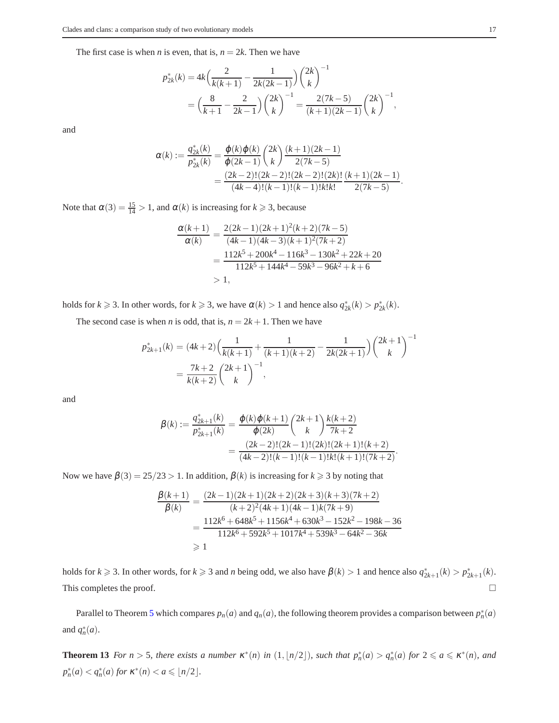The first case is when *n* is even, that is,  $n = 2k$ . Then we have

$$
p_{2k}^{*}(k) = 4k \left(\frac{2}{k(k+1)} - \frac{1}{2k(2k-1)}\right) \left(\frac{2k}{k}\right)^{-1}
$$
  
=  $\left(\frac{8}{k+1} - \frac{2}{2k-1}\right) \left(\frac{2k}{k}\right)^{-1} = \frac{2(7k-5)}{(k+1)(2k-1)} \left(\frac{2k}{k}\right)^{-1},$ 

and

$$
\alpha(k) := \frac{q_{2k}^*(k)}{p_{2k}^*(k)} = \frac{\varphi(k)\varphi(k)}{\varphi(2k-1)} \left(\frac{2k}{k}\right) \frac{(k+1)(2k-1)}{2(7k-5)} \n= \frac{(2k-2)!(2k-2)!(2k-2)!(2k)!}{(4k-4)!(k-1)!(k-1)!k!k!} \frac{(k+1)(2k-1)}{2(7k-5)}.
$$

Note that  $\alpha(3) = \frac{15}{14} > 1$ , and  $\alpha(k)$  is increasing for  $k \ge 3$ , because

$$
\frac{\alpha(k+1)}{\alpha(k)} = \frac{2(2k-1)(2k+1)^2(k+2)(7k-5)}{(4k-1)(4k-3)(k+1)^2(7k+2)}
$$
  
= 
$$
\frac{112k^5 + 200k^4 - 116k^3 - 130k^2 + 22k + 20}{112k^5 + 144k^4 - 59k^3 - 96k^2 + k + 6}
$$
  
> 1,

holds for  $k \ge 3$ . In other words, for  $k \ge 3$ , we have  $\alpha(k) > 1$  and hence also  $q_{2k}^*(k) > p_{2k}^*(k)$ .

The second case is when *n* is odd, that is,  $n = 2k + 1$ . Then we have

$$
p_{2k+1}^{*}(k) = (4k+2)\left(\frac{1}{k(k+1)} + \frac{1}{(k+1)(k+2)} - \frac{1}{2k(2k+1)}\right)\binom{2k+1}{k}^{-1}
$$

$$
= \frac{7k+2}{k(k+2)}\binom{2k+1}{k}^{-1},
$$

and

$$
\beta(k) := \frac{q_{2k+1}^*(k)}{p_{2k+1}^*(k)} = \frac{\varphi(k)\varphi(k+1)}{\varphi(2k)} \binom{2k+1}{k} \frac{k(k+2)}{7k+2}
$$

$$
= \frac{(2k-2)!(2k-1)!(2k)!(2k+1)!(k+2)}{(4k-2)!(k-1)!(k-1)!k!(k+1)!(7k+2)}.
$$

Now we have  $\beta(3) = 25/23 > 1$ . In addition,  $\beta(k)$  is increasing for  $k \ge 3$  by noting that

$$
\frac{\beta(k+1)}{\beta(k)} = \frac{(2k-1)(2k+1)(2k+2)(2k+3)(k+3)(7k+2)}{(k+2)^2(4k+1)(4k-1)k(7k+9)}
$$
  
= 
$$
\frac{112k^6 + 648k^5 + 1156k^4 + 630k^3 - 152k^2 - 198k - 36k^2 + 112k^6 + 592k^5 + 1017k^4 + 539k^3 - 64k^2 - 36k}{112k^6 + 592k^5 + 1017k^4 + 539k^3 - 64k^2 - 36k}
$$
  
\$\geq 1

holds for  $k \ge 3$ . In other words, for  $k \ge 3$  and *n* being odd, we also have  $\beta(k) > 1$  and hence also  $q_{2k+1}^*(k) > p_{2k+1}^*(k)$ . This completes the proof.  $\Box$ 

Parallel to Theorem [5](#page-8-0) which compares  $p_n(a)$  and  $q_n(a)$ , the following theorem provides a comparison between  $p_n^*(a)$ and  $q_n^*(a)$ .

**Theorem 13** For  $n > 5$ , there exists a number  $\kappa^*(n)$  in  $(1, \lfloor n/2 \rfloor)$ , such that  $p_n^*(a) > q_n^*(a)$  for  $2 \leq a \leq \kappa^*(n)$ , and  $p_n^*(a) < q_n^*(a)$  for  $\kappa^*(n) < a \leq n/2$ .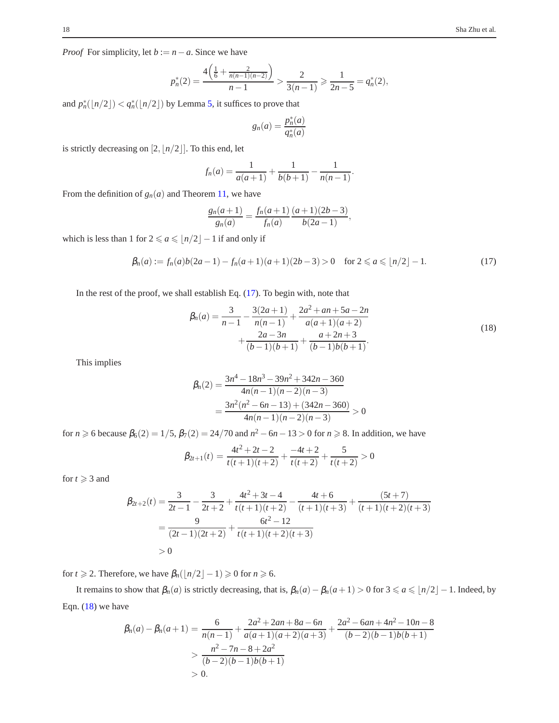*Proof* For simplicity, let  $b := n - a$ . Since we have

$$
p_n^*(2) = \frac{4\left(\frac{1}{6} + \frac{2}{n(n-1)(n-2)}\right)}{n-1} > \frac{2}{3(n-1)} \ge \frac{1}{2n-5} = q_n^*(2),
$$

and  $p_n^*({n/2}) < q_n^*({n/2})$  by Lemma [5,](#page-15-2) it suffices to prove that

$$
g_n(a) = \frac{p_n^*(a)}{q_n^*(a)}
$$

is strictly decreasing on  $[2, \lfloor n/2 \rfloor]$ . To this end, let

$$
f_n(a) = \frac{1}{a(a+1)} + \frac{1}{b(b+1)} - \frac{1}{n(n-1)}.
$$

From the definition of  $g_n(a)$  and Theorem [11,](#page-14-0) we have

$$
\frac{g_n(a+1)}{g_n(a)} = \frac{f_n(a+1)}{f_n(a)} \frac{(a+1)(2b-3)}{b(2a-1)},
$$

which is less than 1 for  $2 \le a \le \lfloor n/2 \rfloor - 1$  if and only if

<span id="page-17-0"></span>
$$
\beta_n(a) := f_n(a)b(2a-1) - f_n(a+1)(a+1)(2b-3) > 0 \quad \text{for } 2 \leq a \leq \lfloor n/2 \rfloor - 1. \tag{17}
$$

In the rest of the proof, we shall establish Eq. [\(17\)](#page-17-0). To begin with, note that

<span id="page-17-1"></span>
$$
\beta_n(a) = \frac{3}{n-1} - \frac{3(2a+1)}{n(n-1)} + \frac{2a^2 + an + 5a - 2n}{a(a+1)(a+2)} + \frac{2a - 3n}{(b-1)(b+1)} + \frac{a+2n+3}{(b-1)b(b+1)}.
$$
\n(18)

This implies

$$
\beta_n(2) = \frac{3n^4 - 18n^3 - 39n^2 + 342n - 360}{4n(n-1)(n-2)(n-3)}
$$
  
= 
$$
\frac{3n^2(n^2 - 6n - 13) + (342n - 360)}{4n(n-1)(n-2)(n-3)} > 0
$$

for  $n \ge 6$  because  $\beta_6(2) = 1/5$ ,  $\beta_7(2) = 24/70$  and  $n^2 - 6n - 13 > 0$  for  $n \ge 8$ . In addition, we have

$$
\beta_{2t+1}(t) = \frac{4t^2 + 2t - 2}{t(t+1)(t+2)} + \frac{-4t + 2}{t(t+2)} + \frac{5}{t(t+2)} > 0
$$

for  $t \geqslant 3$  and

$$
\beta_{2t+2}(t) = \frac{3}{2t-1} - \frac{3}{2t+2} + \frac{4t^2+3t-4}{t(t+1)(t+2)} - \frac{4t+6}{(t+1)(t+3)} + \frac{(5t+7)}{(t+1)(t+2)(t+3)}
$$
  
= 
$$
\frac{9}{(2t-1)(2t+2)} + \frac{6t^2-12}{t(t+1)(t+2)(t+3)}
$$
  
> 0

for *t*  $\geq$  2. Therefore, we have  $\beta_n(\lfloor n/2 \rfloor - 1) \geq 0$  for  $n \geq 6$ .

It remains to show that  $\beta_n(a)$  is strictly decreasing, that is,  $\beta_n(a) - \beta_n(a+1) > 0$  for  $3 \le a \le \lfloor n/2 \rfloor - 1$ . Indeed, by Eqn.  $(18)$  we have

$$
\beta_n(a) - \beta_n(a+1) = \frac{6}{n(n-1)} + \frac{2a^2 + 2an + 8a - 6n}{a(a+1)(a+2)(a+3)} + \frac{2a^2 - 6an + 4n^2 - 10n - 8}{(b-2)(b-1)b(b+1)}
$$
  
> 
$$
\frac{n^2 - 7n - 8 + 2a^2}{(b-2)(b-1)b(b+1)}
$$
  
> 0.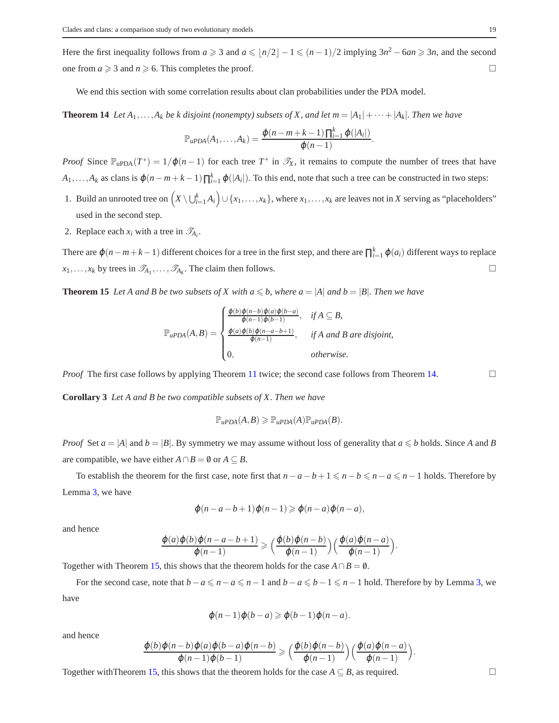Here the first inequality follows from  $a \geq 3$  and  $a \leq \lfloor n/2 \rfloor - 1 \leq (n-1)/2$  implying  $3n^2 - 6an \geq 3n$ , and the second one from  $a \ge 3$  and  $n \ge 6$ . This completes the proof.

<span id="page-18-0"></span>We end this section with some correlation results about clan probabilities under the PDA model.

**Theorem 14** *Let*  $A_1, \ldots, A_k$  *be k* disjoint (nonempty) subsets of X, and let  $m = |A_1| + \cdots + |A_k|$ . Then we have

$$
\mathbb{P}_{\mu PDA}(A_1,\ldots,A_k)=\frac{\varphi(n-m+k-1)\prod_{i=1}^k\varphi(|A_i|)}{\varphi(n-1)}.
$$

*Proof* Since  $\mathbb{P}_{\text{upDA}}(T^*) = 1/\varphi(n-1)$  for each tree  $T^*$  in  $\mathscr{T}_X$ , it remains to compute the number of trees that have  $A_1, \ldots, A_k$  as clans is  $\varphi(n-m+k-1) \prod_{i=1}^k \varphi(|A_i|)$ . To this end, note that such a tree can be constructed in two steps:

- 1. Build an unrooted tree on  $(X \setminus \bigcup_{i=1}^k A_i) \cup \{x_1, \ldots, x_k\}$ , where  $x_1, \ldots, x_k$  are leaves not in *X* serving as "placeholders" used in the second step.
- 2. Replace each  $x_i$  with a tree in  $\mathcal{T}_{A_i}$ .

There are  $\varphi(n-m+k-1)$  different choices for a tree in the first step, and there are  $\prod_{i=1}^{k} \varphi(a_i)$  different ways to replace  $x_1, \ldots, x_k$  by trees in  $\mathcal{T}_{A_1}, \ldots, \mathcal{T}_{A_k}$ . The claim then follows.

<span id="page-18-1"></span>**Theorem 15** *Let A and B be two subsets of X with*  $a \leq b$ *, where*  $a = |A|$  *and*  $b = |B|$ *. Then we have* 

$$
\mathbb{P}_{\mu PDA}(A,B) = \begin{cases} \frac{\varphi(b)\varphi(n-b)\varphi(a)\varphi(b-a)}{\varphi(n-1)\varphi(b-1)}, & \text{if } A \subseteq B, \\ \frac{\varphi(a)\varphi(b)\varphi(n-a-b+1)}{\varphi(n-1)}, & \text{if } A \text{ and } B \text{ are disjoint,} \\ 0, & \text{otherwise.} \end{cases}
$$

*Proof* The first case follows by applying Theorem [11](#page-14-0) twice; the second case follows from Theorem [14.](#page-18-0)

**Corollary 3** *Let A and B be two compatible subsets of X. Then we have*

$$
\mathbb{P}_{\mathit{uPDA}}(A,B) \geq \mathbb{P}_{\mathit{uPDA}}(A)\mathbb{P}_{\mathit{uPDA}}(B).
$$

*Proof* Set  $a = |A|$  and  $b = |B|$ . By symmetry we may assume without loss of generality that  $a \leq b$  holds. Since *A* and *B* are compatible, we have either  $A \cap B = \emptyset$  or  $A \subseteq B$ .

To establish the theorem for the first case, note first that  $n-a-b+1 \leq n-b \leq n-a \leq n-1$  holds. Therefore by Lemma [3,](#page-12-3) we have

$$
\varphi(n-a-b+1)\varphi(n-1) \geq \varphi(n-a)\varphi(n-a),
$$

and hence

$$
\frac{\varphi(a)\varphi(b)\varphi(n-a-b+1)}{\varphi(n-1)} \geqslant \Big(\frac{\varphi(b)\varphi(n-b)}{\varphi(n-1)}\Big)\Big(\frac{\varphi(a)\varphi(n-a)}{\varphi(n-1)}\Big).
$$

Together with Theorem [15,](#page-18-1) this shows that the theorem holds for the case  $A \cap B = \emptyset$ .

For the second case, note that  $b-a \leq n-a \leq n-1$  and  $b-a \leq b-1 \leq n-1$  hold. Therefore by by Lemma [3,](#page-12-3) we have

$$
\varphi(n-1)\varphi(b-a) \geqslant \varphi(b-1)\varphi(n-a).
$$

and hence

$$
\frac{\varphi(b)\varphi(n-b)\varphi(a)\varphi(b-a)\varphi(n-b)}{\varphi(n-1)\varphi(b-1)} \geqslant \left(\frac{\varphi(b)\varphi(n-b)}{\varphi(n-1)}\right)\left(\frac{\varphi(a)\varphi(n-a)}{\varphi(n-1)}\right).
$$

Together with Theorem [15,](#page-18-1) this shows that the theorem holds for the case  $A \subseteq B$ , as required.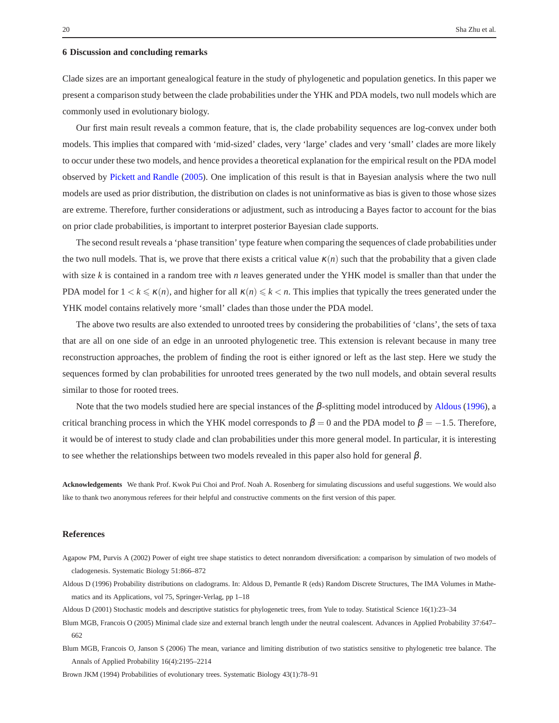#### **6 Discussion and concluding remarks**

Clade sizes are an important genealogical feature in the study of phylogenetic and population genetics. In this paper we present a comparison study between the clade probabilities under the YHK and PDA models, two null models which are commonly used in evolutionary biology.

Our first main result reveals a common feature, that is, the clade probability sequences are log-convex under both models. This implies that compared with 'mid-sized' clades, very 'large' clades and very 'small' clades are more likely to occur under these two models, and hence provides a theoretical explanation for the empirical result on the PDA model observed by [Pickett and Randle](#page-20-8) [\(2005](#page-20-8)). One implication of this result is that in Bayesian analysis where the two null models are used as prior distribution, the distribution on clades is not uninformative as bias is given to those whose sizes are extreme. Therefore, further considerations or adjustment, such as introducing a Bayes factor to account for the bias on prior clade probabilities, is important to interpret posterior Bayesian clade supports.

The second result reveals a 'phase transition' type feature when comparing the sequences of clade probabilities under the two null models. That is, we prove that there exists a critical value  $\kappa(n)$  such that the probability that a given clade with size *k* is contained in a random tree with *n* leaves generated under the YHK model is smaller than that under the PDA model for  $1 < k \leq \kappa(n)$ , and higher for all  $\kappa(n) \leq k < n$ . This implies that typically the trees generated under the YHK model contains relatively more 'small' clades than those under the PDA model.

The above two results are also extended to unrooted trees by considering the probabilities of 'clans', the sets of taxa that are all on one side of an edge in an unrooted phylogenetic tree. This extension is relevant because in many tree reconstruction approaches, the problem of finding the root is either ignored or left as the last step. Here we study the sequences formed by clan probabilities for unrooted trees generated by the two null models, and obtain several results similar to those for rooted trees.

Note that the two models studied here are special instances of the β-splitting model introduced by [Aldous](#page-19-3) [\(1996\)](#page-19-3), a critical branching process in which the YHK model corresponds to  $\beta = 0$  and the PDA model to  $\beta = -1.5$ . Therefore, it would be of interest to study clade and clan probabilities under this more general model. In particular, it is interesting to see whether the relationships between two models revealed in this paper also hold for general  $\beta$ .

**Acknowledgements** We thank Prof. Kwok Pui Choi and Prof. Noah A. Rosenberg for simulating discussions and useful suggestions. We would also like to thank two anonymous referees for their helpful and constructive comments on the first version of this paper.

#### **References**

- <span id="page-19-0"></span>Agapow PM, Purvis A (2002) Power of eight tree shape statistics to detect nonrandom diversification: a comparison by simulation of two models of cladogenesis. Systematic Biology 51:866–872
- <span id="page-19-3"></span>Aldous D (1996) Probability distributions on cladograms. In: Aldous D, Pemantle R (eds) Random Discrete Structures, The IMA Volumes in Mathematics and its Applications, vol 75, Springer-Verlag, pp 1–18
- <span id="page-19-1"></span>Aldous D (2001) Stochastic models and descriptive statistics for phylogenetic trees, from Yule to today. Statistical Science 16(1):23–34
- <span id="page-19-4"></span>Blum MGB, Francois O (2005) Minimal clade size and external branch length under the neutral coalescent. Advances in Applied Probability 37:647– 662
- <span id="page-19-2"></span>Blum MGB, Francois O, Janson S (2006) The mean, variance and limiting distribution of two statistics sensitive to phylogenetic tree balance. The Annals of Applied Probability 16(4):2195–2214

<span id="page-19-5"></span>Brown JKM (1994) Probabilities of evolutionary trees. Systematic Biology 43(1):78–91